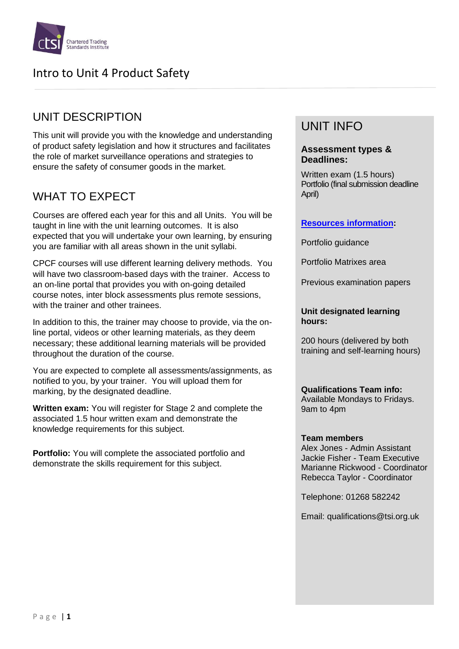

### UNIT DESCRIPTION

This unit will provide you with the knowledge and understanding of product safety legislation and how it structures and facilitates the role of market surveillance operations and strategies to ensure the safety of consumer goods in the market.

## WHAT TO EXPECT

Courses are offered each year for this and all Units. You will be taught in line with the unit learning outcomes. It is also expected that you will undertake your own learning, by ensuring you are familiar with all areas shown in the unit syllabi.

CPCF courses will use different learning delivery methods. You will have two classroom-based days with the trainer. Access to an on-line portal that provides you with on-going detailed course notes, inter block assessments plus remote sessions, with the trainer and other trainees.

In addition to this, the trainer may choose to provide, via the online portal, videos or other learning materials, as they deem necessary; these additional learning materials will be provided throughout the duration of the course.

You are expected to complete all assessments/assignments, as notified to you, by your trainer. You will upload them for marking, by the designated deadline.

**Written exam:** You will register for Stage 2 and complete the associated 1.5 hour written exam and demonstrate the knowledge requirements for this subject.

**Portfolio:** You will complete the associated portfolio and demonstrate the skills requirement for this subject.

# UNIT INFO

#### **Assessment types & Deadlines:**

Written exam (1.5 hours) Portfolio (final submission deadline April)

### **[Resources information:](https://www.tradingstandards.uk/practitioners/training-development/qualifications-resources)**

Portfolio guidance

Portfolio Matrixes area

Previous examination papers

#### **Unit designated learning hours:**

200 hours (delivered by both training and self-learning hours)

**Qualifications Team info:** Available Mondays to Fridays. 9am to 4pm

#### **Team members**

Alex Jones - Admin Assistant Jackie Fisher - Team Executive Marianne Rickwood - Coordinator Rebecca Taylor - Coordinator

Telephone: 01268 582242

Email: qualifications@tsi.org.uk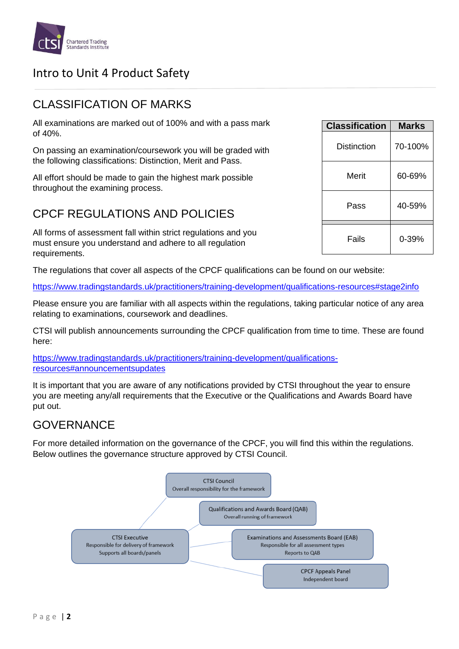

### CLASSIFICATION OF MARKS

All examinations are marked out of 100% and with a pass mark of 40%.

On passing an examination/coursework you will be graded with the following classifications: Distinction, Merit and Pass.

All effort should be made to gain the highest mark possible throughout the examining process.

### CPCF REGULATIONS AND POLICIES

All forms of assessment fall within strict regulations and you must ensure you understand and adhere to all regulation requirements.

The regulations that cover all aspects of the CPCF qualifications can be found on our website:

<https://www.tradingstandards.uk/practitioners/training-development/qualifications-resources#stage2info>

Please ensure you are familiar with all aspects within the regulations, taking particular notice of any area relating to examinations, coursework and deadlines.

CTSI will publish announcements surrounding the CPCF qualification from time to time. These are found here:

[https://www.tradingstandards.uk/practitioners/training-development/qualifications](https://www.tradingstandards.uk/practitioners/training-development/qualifications-resources#announcementsupdates)[resources#announcementsupdates](https://www.tradingstandards.uk/practitioners/training-development/qualifications-resources#announcementsupdates)

It is important that you are aware of any notifications provided by CTSI throughout the year to ensure you are meeting any/all requirements that the Executive or the Qualifications and Awards Board have put out.

### **GOVERNANCE**

For more detailed information on the governance of the CPCF, you will find this within the regulations. Below outlines the governance structure approved by CTSI Council.



| <b>Classification</b> | Marks   |
|-----------------------|---------|
| Distinction           | 70-100% |
| Merit                 | 60-69%  |
| Pass                  | 40-59%  |
| Fails                 | 0-39%   |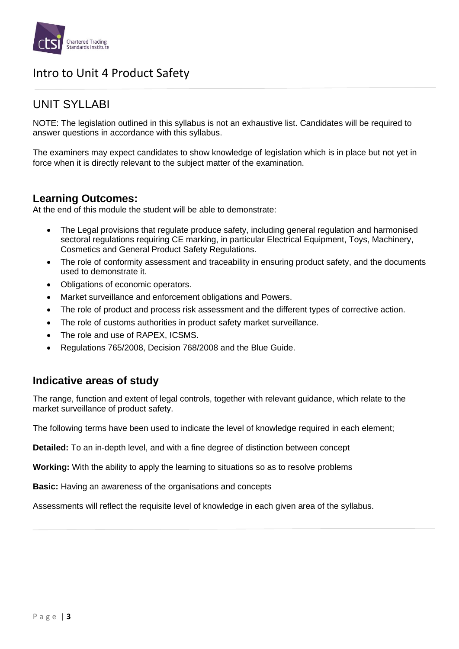

### UNIT SYLLABI

NOTE: The legislation outlined in this syllabus is not an exhaustive list. Candidates will be required to answer questions in accordance with this syllabus.

The examiners may expect candidates to show knowledge of legislation which is in place but not yet in force when it is directly relevant to the subject matter of the examination.

### **Learning Outcomes:**

At the end of this module the student will be able to demonstrate:

- The Legal provisions that regulate produce safety, including general regulation and harmonised sectoral regulations requiring CE marking, in particular Electrical Equipment, Toys, Machinery, Cosmetics and General Product Safety Regulations.
- The role of conformity assessment and traceability in ensuring product safety, and the documents used to demonstrate it.
- Obligations of economic operators.
- Market surveillance and enforcement obligations and Powers.
- The role of product and process risk assessment and the different types of corrective action.
- The role of customs authorities in product safety market surveillance.
- The role and use of RAPEX, ICSMS.
- Regulations 765/2008, Decision 768/2008 and the Blue Guide.

### **Indicative areas of study**

The range, function and extent of legal controls, together with relevant guidance, which relate to the market surveillance of product safety.

The following terms have been used to indicate the level of knowledge required in each element;

**Detailed:** To an in-depth level, and with a fine degree of distinction between concept

**Working:** With the ability to apply the learning to situations so as to resolve problems

**Basic:** Having an awareness of the organisations and concepts

Assessments will reflect the requisite level of knowledge in each given area of the syllabus.